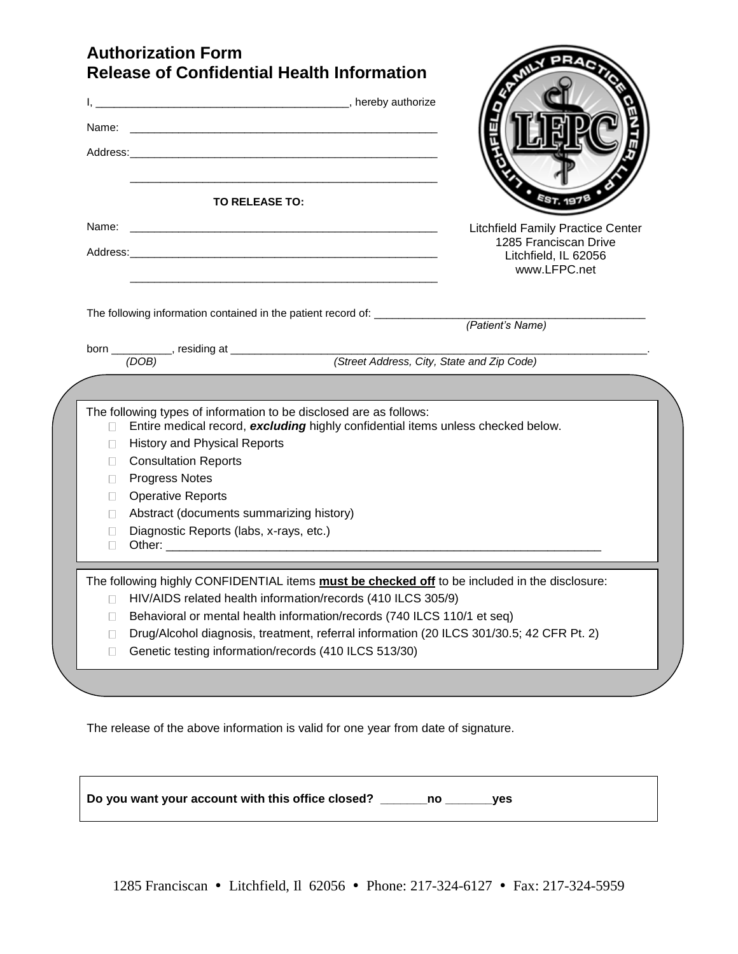## **Authorization Form Release of Confidential Health Information**

| Name:                                                                    | Address: Andreas Address Address Andreas Address Address Address Address Address Address Address Address Address Address Address Address Address Address Address Address Address Address Address Address Address Address Addre                                                                                                                                           |                                                               |
|--------------------------------------------------------------------------|--------------------------------------------------------------------------------------------------------------------------------------------------------------------------------------------------------------------------------------------------------------------------------------------------------------------------------------------------------------------------|---------------------------------------------------------------|
|                                                                          | TO RELEASE TO:                                                                                                                                                                                                                                                                                                                                                           |                                                               |
|                                                                          |                                                                                                                                                                                                                                                                                                                                                                          | <b>Litchfield Family Practice Center</b>                      |
|                                                                          |                                                                                                                                                                                                                                                                                                                                                                          | 1285 Franciscan Drive<br>Litchfield, IL 62056<br>www.LFPC.net |
|                                                                          | The following information contained in the patient record of: __________________                                                                                                                                                                                                                                                                                         |                                                               |
|                                                                          |                                                                                                                                                                                                                                                                                                                                                                          | (Patient's Name)                                              |
|                                                                          |                                                                                                                                                                                                                                                                                                                                                                          |                                                               |
|                                                                          | born ____________, residing at ___________________________(Street Address, City, State and Zip Code)                                                                                                                                                                                                                                                                     |                                                               |
| $\Box$<br>$\Box$<br>$\Box$<br>П.<br>$\Box$<br>$\Box$<br>$\Box$<br>$\Box$ | The following types of information to be disclosed are as follows:<br>Entire medical record, excluding highly confidential items unless checked below.<br><b>History and Physical Reports</b><br><b>Consultation Reports</b><br><b>Progress Notes</b><br><b>Operative Reports</b><br>Abstract (documents summarizing history)<br>Diagnostic Reports (labs, x-rays, etc.) |                                                               |
|                                                                          |                                                                                                                                                                                                                                                                                                                                                                          |                                                               |
|                                                                          | The following highly CONFIDENTIAL items must be checked off to be included in the disclosure:                                                                                                                                                                                                                                                                            |                                                               |
| $\Box$                                                                   | HIV/AIDS related health information/records (410 ILCS 305/9)                                                                                                                                                                                                                                                                                                             |                                                               |
| $\Box$                                                                   | Behavioral or mental health information/records (740 ILCS 110/1 et seq)                                                                                                                                                                                                                                                                                                  |                                                               |
| П<br>П                                                                   | Drug/Alcohol diagnosis, treatment, referral information (20 ILCS 301/30.5; 42 CFR Pt. 2)<br>Genetic testing information/records (410 ILCS 513/30)                                                                                                                                                                                                                        |                                                               |

**AN PRA** 

The release of the above information is valid for one year from date of signature.

**Do you want your account with this office closed? \_\_\_\_\_\_\_no \_\_\_\_\_\_\_yes**